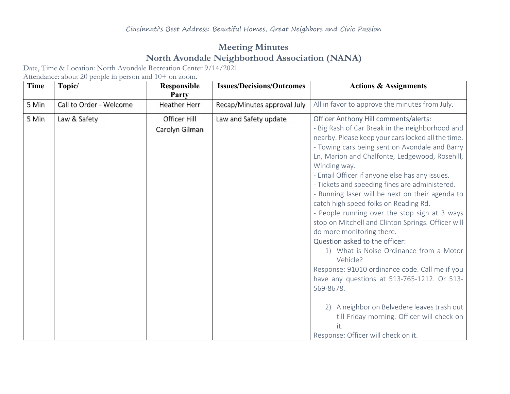## Meeting Minutes North Avondale Neighborhood Association (NANA)

Date, Time & Location: North Avondale Recreation Center 9/14/2021

Attendance: about 20 people in person and 10+ on zoom.

| Time  | Topic/                  | Responsible<br>Party           | <b>Issues/Decisions/Outcomes</b> | <b>Actions &amp; Assignments</b>                                                                                                                                                                                                                                                                                                                                                                                                                                                                                                                                                                                                                                                                                                                                                                                                                                                                                            |
|-------|-------------------------|--------------------------------|----------------------------------|-----------------------------------------------------------------------------------------------------------------------------------------------------------------------------------------------------------------------------------------------------------------------------------------------------------------------------------------------------------------------------------------------------------------------------------------------------------------------------------------------------------------------------------------------------------------------------------------------------------------------------------------------------------------------------------------------------------------------------------------------------------------------------------------------------------------------------------------------------------------------------------------------------------------------------|
| 5 Min | Call to Order - Welcome | <b>Heather Herr</b>            | Recap/Minutes approval July      | All in favor to approve the minutes from July.                                                                                                                                                                                                                                                                                                                                                                                                                                                                                                                                                                                                                                                                                                                                                                                                                                                                              |
| 5 Min | Law & Safety            | Officer Hill<br>Carolyn Gilman | Law and Safety update            | <b>Officer Anthony Hill comments/alerts:</b><br>- Big Rash of Car Break in the neighborhood and<br>nearby. Please keep your cars locked all the time.<br>- Towing cars being sent on Avondale and Barry<br>Ln, Marion and Chalfonte, Ledgewood, Rosehill,<br>Winding way.<br>- Email Officer if anyone else has any issues.<br>- Tickets and speeding fines are administered.<br>- Running laser will be next on their agenda to<br>catch high speed folks on Reading Rd.<br>- People running over the stop sign at 3 ways<br>stop on Mitchell and Clinton Springs. Officer will<br>do more monitoring there.<br>Question asked to the officer:<br>1) What is Noise Ordinance from a Motor<br>Vehicle?<br>Response: 91010 ordinance code. Call me if you<br>have any questions at 513-765-1212. Or 513-<br>569-8678.<br>A neighbor on Belvedere leaves trash out<br>2)<br>till Friday morning. Officer will check on<br>it. |
|       |                         |                                |                                  | Response: Officer will check on it.                                                                                                                                                                                                                                                                                                                                                                                                                                                                                                                                                                                                                                                                                                                                                                                                                                                                                         |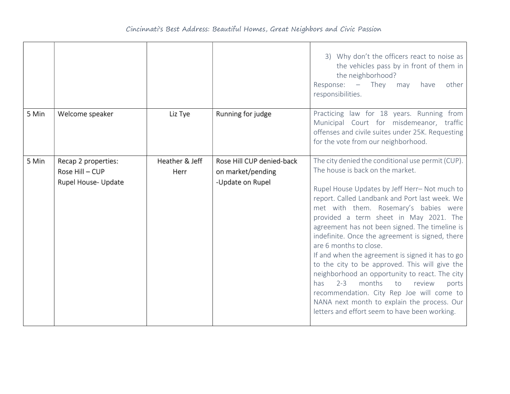|       |                                                               |                        |                                                                    | 3) Why don't the officers react to noise as<br>the vehicles pass by in front of them in<br>the neighborhood?<br>Response: $-$ They<br>other<br>have<br>may<br>responsibilities.                                                                                                                                                                                                                                                                                                                                                                                                                                                                                                                                                                                      |
|-------|---------------------------------------------------------------|------------------------|--------------------------------------------------------------------|----------------------------------------------------------------------------------------------------------------------------------------------------------------------------------------------------------------------------------------------------------------------------------------------------------------------------------------------------------------------------------------------------------------------------------------------------------------------------------------------------------------------------------------------------------------------------------------------------------------------------------------------------------------------------------------------------------------------------------------------------------------------|
| 5 Min | Welcome speaker                                               | Liz Tye                | Running for judge                                                  | Practicing law for 18 years. Running from<br>Municipal Court for misdemeanor, traffic<br>offenses and civile suites under 25K. Requesting<br>for the vote from our neighborhood.                                                                                                                                                                                                                                                                                                                                                                                                                                                                                                                                                                                     |
| 5 Min | Recap 2 properties:<br>Rose Hill - CUP<br>Rupel House- Update | Heather & Jeff<br>Herr | Rose Hill CUP denied-back<br>on market/pending<br>-Update on Rupel | The city denied the conditional use permit (CUP).<br>The house is back on the market.<br>Rupel House Updates by Jeff Herr-Not much to<br>report. Called Landbank and Port last week. We<br>met with them. Rosemary's babies were<br>provided a term sheet in May 2021. The<br>agreement has not been signed. The timeline is<br>indefinite. Once the agreement is signed, there<br>are 6 months to close.<br>If and when the agreement is signed it has to go<br>to the city to be approved. This will give the<br>neighborhood an opportunity to react. The city<br>months<br>$2 - 3$<br>to<br>review<br>has.<br>ports<br>recommendation. City Rep Joe will come to<br>NANA next month to explain the process. Our<br>letters and effort seem to have been working. |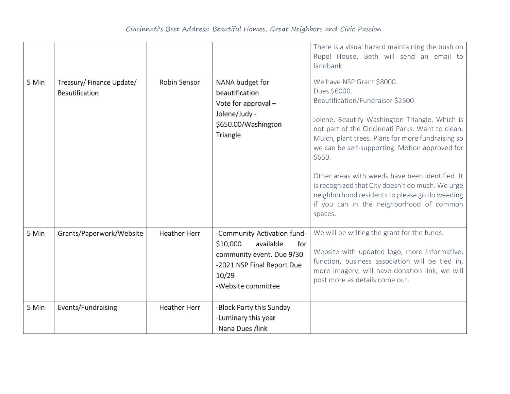|       |                                             |                     |                                                                                                                                                       | There is a visual hazard maintaining the bush on<br>Rupel House. Beth will send an email to<br>landbank.                                                                                                                                                                                                                                                                                                                                                                                                             |
|-------|---------------------------------------------|---------------------|-------------------------------------------------------------------------------------------------------------------------------------------------------|----------------------------------------------------------------------------------------------------------------------------------------------------------------------------------------------------------------------------------------------------------------------------------------------------------------------------------------------------------------------------------------------------------------------------------------------------------------------------------------------------------------------|
| 5 Min | Treasury/ Finance Update/<br>Beautification | Robin Sensor        | NANA budget for<br>beautification<br>Vote for approval -<br>Jolene/Judy -<br>\$650.00/Washington<br>Triangle                                          | We have NSP Grant \$8000.<br>Dues \$6000.<br>Beautification/Fundraiser \$2500<br>Jolene, Beautify Washington Triangle. Which is<br>not part of the Cincinnati Parks. Want to clean,<br>Mulch, plant trees. Plans for more fundraising so<br>we can be self-supporting. Motion approved for<br>\$650.<br>Other areas with weeds have been identified. It<br>is recognized that City doesn't do much. We urge<br>neighborhood residents to please go do weeding<br>if you can in the neighborhood of common<br>spaces. |
| 5 Min | Grants/Paperwork/Website                    | <b>Heather Herr</b> | -Community Activation fund-<br>\$10,000<br>available<br>for<br>community event. Due 9/30<br>-2021 NSP Final Report Due<br>10/29<br>-Website committee | We will be writing the grant for the funds.<br>Website with updated logo, more informative,<br>function, business association will be tied in,<br>more imagery, will have donation link, we will<br>post more as details come out.                                                                                                                                                                                                                                                                                   |
| 5 Min | Events/Fundraising                          | <b>Heather Herr</b> | -Block Party this Sunday<br>-Luminary this year<br>-Nana Dues /link                                                                                   |                                                                                                                                                                                                                                                                                                                                                                                                                                                                                                                      |